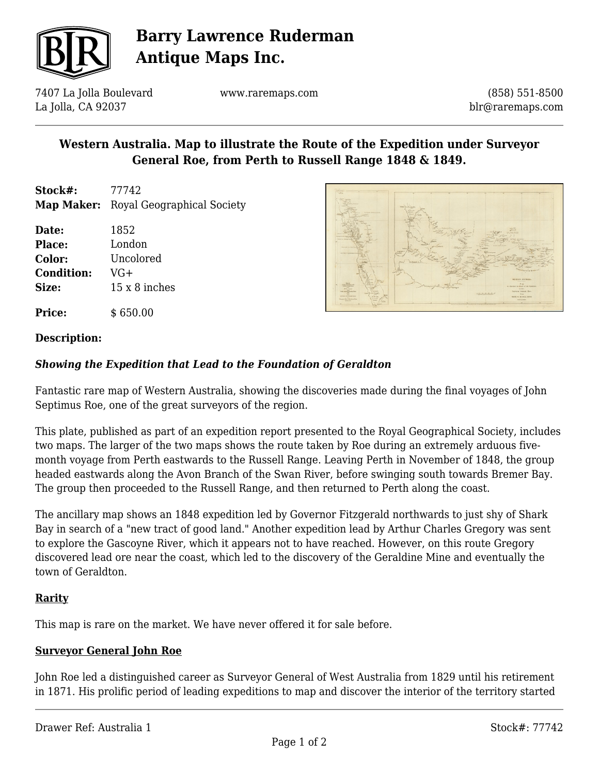

# **Barry Lawrence Ruderman Antique Maps Inc.**

7407 La Jolla Boulevard La Jolla, CA 92037

www.raremaps.com

(858) 551-8500 blr@raremaps.com

## **Western Australia. Map to illustrate the Route of the Expedition under Surveyor General Roe, from Perth to Russell Range 1848 & 1849.**

- **Stock#:** 77742 **Map Maker:** Royal Geographical Society
- **Date:** 1852 **Place:** London **Color:** Uncolored **Condition:** VG+ **Size:** 15 x 8 inches

**Price:**  $$650.00$ 

# **Description:**

### *Showing the Expedition that Lead to the Foundation of Geraldton*

Fantastic rare map of Western Australia, showing the discoveries made during the final voyages of John Septimus Roe, one of the great surveyors of the region.

This plate, published as part of an expedition report presented to the Royal Geographical Society, includes two maps. The larger of the two maps shows the route taken by Roe during an extremely arduous fivemonth voyage from Perth eastwards to the Russell Range. Leaving Perth in November of 1848, the group headed eastwards along the Avon Branch of the Swan River, before swinging south towards Bremer Bay. The group then proceeded to the Russell Range, and then returned to Perth along the coast.

The ancillary map shows an 1848 expedition led by Governor Fitzgerald northwards to just shy of Shark Bay in search of a "new tract of good land." Another expedition lead by Arthur Charles Gregory was sent to explore the Gascoyne River, which it appears not to have reached. However, on this route Gregory discovered lead ore near the coast, which led to the discovery of the Geraldine Mine and eventually the town of Geraldton.

#### **Rarity**

This map is rare on the market. We have never offered it for sale before.

#### **Surveyor General John Roe**

John Roe led a distinguished career as Surveyor General of West Australia from 1829 until his retirement in 1871. His prolific period of leading expeditions to map and discover the interior of the territory started